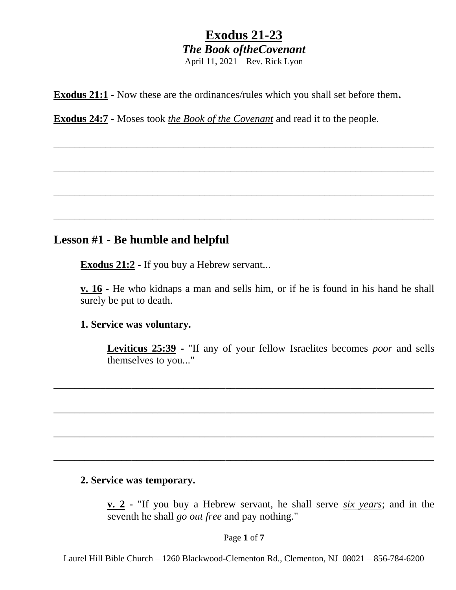\_\_\_\_\_\_\_\_\_\_\_\_\_\_\_\_\_\_\_\_\_\_\_\_\_\_\_\_\_\_\_\_\_\_\_\_\_\_\_\_\_\_\_\_\_\_\_\_\_\_\_\_\_\_\_\_\_\_\_\_\_\_\_\_\_\_\_\_\_\_\_\_\_

\_\_\_\_\_\_\_\_\_\_\_\_\_\_\_\_\_\_\_\_\_\_\_\_\_\_\_\_\_\_\_\_\_\_\_\_\_\_\_\_\_\_\_\_\_\_\_\_\_\_\_\_\_\_\_\_\_\_\_\_\_\_\_\_\_\_\_\_\_\_\_\_\_

\_\_\_\_\_\_\_\_\_\_\_\_\_\_\_\_\_\_\_\_\_\_\_\_\_\_\_\_\_\_\_\_\_\_\_\_\_\_\_\_\_\_\_\_\_\_\_\_\_\_\_\_\_\_\_\_\_\_\_\_\_\_\_\_\_\_\_\_\_\_\_\_\_

\_\_\_\_\_\_\_\_\_\_\_\_\_\_\_\_\_\_\_\_\_\_\_\_\_\_\_\_\_\_\_\_\_\_\_\_\_\_\_\_\_\_\_\_\_\_\_\_\_\_\_\_\_\_\_\_\_\_\_\_\_\_\_\_\_\_\_\_\_\_\_\_\_

**Exodus 21:1 -** Now these are the ordinances/rules which you shall set before them**.**

**Exodus 24:7 -** Moses took *the Book of the Covenant* and read it to the people.

### **Lesson #1 - Be humble and helpful**

**Exodus 21:2 -** If you buy a Hebrew servant...

**v. 16 -** He who kidnaps a man and sells him, or if he is found in his hand he shall surely be put to death.

#### **1. Service was voluntary.**

**Leviticus 25:39 -** "If any of your fellow Israelites becomes *poor* and sells themselves to you..."

#### **2. Service was temporary.**

**v. 2 -** "If you buy a Hebrew servant, he shall serve *six years*; and in the seventh he shall *go out free* and pay nothing."

Page **1** of **7**

\_\_\_\_\_\_\_\_\_\_\_\_\_\_\_\_\_\_\_\_\_\_\_\_\_\_\_\_\_\_\_\_\_\_\_\_\_\_\_\_\_\_\_\_\_\_\_\_\_\_\_\_\_\_\_\_\_\_\_\_\_\_\_\_\_\_\_\_\_\_\_\_\_

\_\_\_\_\_\_\_\_\_\_\_\_\_\_\_\_\_\_\_\_\_\_\_\_\_\_\_\_\_\_\_\_\_\_\_\_\_\_\_\_\_\_\_\_\_\_\_\_\_\_\_\_\_\_\_\_\_\_\_\_\_\_\_\_\_\_\_\_\_\_\_\_\_

\_\_\_\_\_\_\_\_\_\_\_\_\_\_\_\_\_\_\_\_\_\_\_\_\_\_\_\_\_\_\_\_\_\_\_\_\_\_\_\_\_\_\_\_\_\_\_\_\_\_\_\_\_\_\_\_\_\_\_\_\_\_\_\_\_\_\_\_\_\_\_\_\_

\_\_\_\_\_\_\_\_\_\_\_\_\_\_\_\_\_\_\_\_\_\_\_\_\_\_\_\_\_\_\_\_\_\_\_\_\_\_\_\_\_\_\_\_\_\_\_\_\_\_\_\_\_\_\_\_\_\_\_\_\_\_\_\_\_\_\_\_\_\_\_\_\_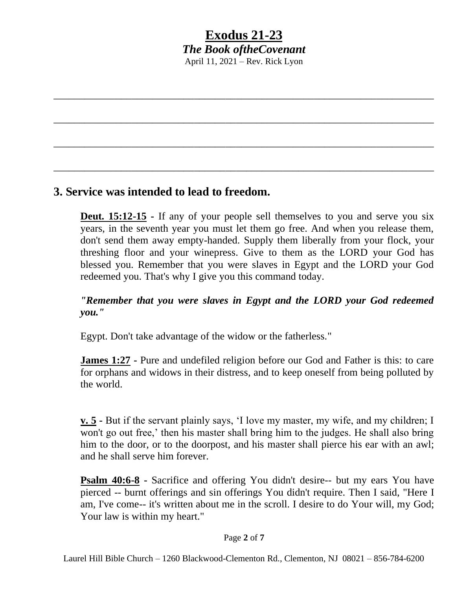\_\_\_\_\_\_\_\_\_\_\_\_\_\_\_\_\_\_\_\_\_\_\_\_\_\_\_\_\_\_\_\_\_\_\_\_\_\_\_\_\_\_\_\_\_\_\_\_\_\_\_\_\_\_\_\_\_\_\_\_\_\_\_\_\_\_\_\_\_\_\_\_\_

\_\_\_\_\_\_\_\_\_\_\_\_\_\_\_\_\_\_\_\_\_\_\_\_\_\_\_\_\_\_\_\_\_\_\_\_\_\_\_\_\_\_\_\_\_\_\_\_\_\_\_\_\_\_\_\_\_\_\_\_\_\_\_\_\_\_\_\_\_\_\_\_\_

\_\_\_\_\_\_\_\_\_\_\_\_\_\_\_\_\_\_\_\_\_\_\_\_\_\_\_\_\_\_\_\_\_\_\_\_\_\_\_\_\_\_\_\_\_\_\_\_\_\_\_\_\_\_\_\_\_\_\_\_\_\_\_\_\_\_\_\_\_\_\_\_\_

\_\_\_\_\_\_\_\_\_\_\_\_\_\_\_\_\_\_\_\_\_\_\_\_\_\_\_\_\_\_\_\_\_\_\_\_\_\_\_\_\_\_\_\_\_\_\_\_\_\_\_\_\_\_\_\_\_\_\_\_\_\_\_\_\_\_\_\_\_\_\_\_\_

### **3. Service was intended to lead to freedom.**

**Deut. 15:12-15** - If any of your people sell themselves to you and serve you six years, in the seventh year you must let them go free. And when you release them, don't send them away empty-handed. Supply them liberally from your flock, your threshing floor and your winepress. Give to them as the LORD your God has blessed you. Remember that you were slaves in Egypt and the LORD your God redeemed you. That's why I give you this command today.

*"Remember that you were slaves in Egypt and the LORD your God redeemed you."*

Egypt. Don't take advantage of the widow or the fatherless."

**James 1:27 •** Pure and undefiled religion before our God and Father is this: to care for orphans and widows in their distress, and to keep oneself from being polluted by the world.

**v. 5 -** But if the servant plainly says, 'I love my master, my wife, and my children; I won't go out free,' then his master shall bring him to the judges. He shall also bring him to the door, or to the doorpost, and his master shall pierce his ear with an awl; and he shall serve him forever.

**Psalm 40:6-8 -** Sacrifice and offering You didn't desire-- but my ears You have pierced -- burnt offerings and sin offerings You didn't require. Then I said, "Here I am, I've come-- it's written about me in the scroll. I desire to do Your will, my God; Your law is within my heart."

#### Page **2** of **7**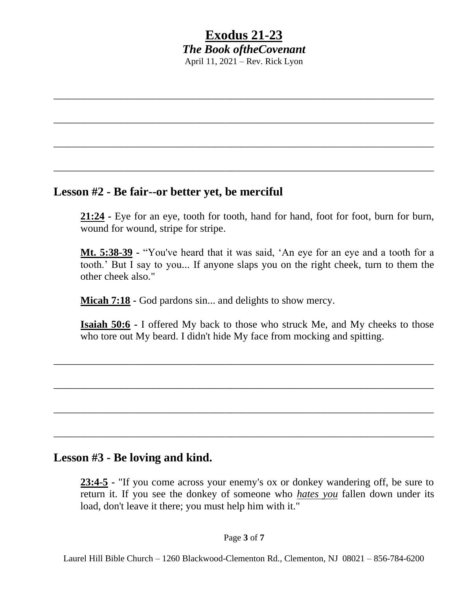\_\_\_\_\_\_\_\_\_\_\_\_\_\_\_\_\_\_\_\_\_\_\_\_\_\_\_\_\_\_\_\_\_\_\_\_\_\_\_\_\_\_\_\_\_\_\_\_\_\_\_\_\_\_\_\_\_\_\_\_\_\_\_\_\_\_\_\_\_\_\_\_\_

\_\_\_\_\_\_\_\_\_\_\_\_\_\_\_\_\_\_\_\_\_\_\_\_\_\_\_\_\_\_\_\_\_\_\_\_\_\_\_\_\_\_\_\_\_\_\_\_\_\_\_\_\_\_\_\_\_\_\_\_\_\_\_\_\_\_\_\_\_\_\_\_\_

\_\_\_\_\_\_\_\_\_\_\_\_\_\_\_\_\_\_\_\_\_\_\_\_\_\_\_\_\_\_\_\_\_\_\_\_\_\_\_\_\_\_\_\_\_\_\_\_\_\_\_\_\_\_\_\_\_\_\_\_\_\_\_\_\_\_\_\_\_\_\_\_\_

\_\_\_\_\_\_\_\_\_\_\_\_\_\_\_\_\_\_\_\_\_\_\_\_\_\_\_\_\_\_\_\_\_\_\_\_\_\_\_\_\_\_\_\_\_\_\_\_\_\_\_\_\_\_\_\_\_\_\_\_\_\_\_\_\_\_\_\_\_\_\_\_\_

### **Lesson #2 - Be fair--or better yet, be merciful**

**21:24 -** Eye for an eye, tooth for tooth, hand for hand, foot for foot, burn for burn, wound for wound, stripe for stripe.

**Mt. 5:38-39 -** "You've heard that it was said, 'An eye for an eye and a tooth for a tooth.' But I say to you... If anyone slaps you on the right cheek, turn to them the other cheek also."

**Micah 7:18 -** God pardons sin... and delights to show mercy.

**Isaiah 50:6 -** I offered My back to those who struck Me, and My cheeks to those who tore out My beard. I didn't hide My face from mocking and spitting.

\_\_\_\_\_\_\_\_\_\_\_\_\_\_\_\_\_\_\_\_\_\_\_\_\_\_\_\_\_\_\_\_\_\_\_\_\_\_\_\_\_\_\_\_\_\_\_\_\_\_\_\_\_\_\_\_\_\_\_\_\_\_\_\_\_\_\_\_\_\_\_\_\_

\_\_\_\_\_\_\_\_\_\_\_\_\_\_\_\_\_\_\_\_\_\_\_\_\_\_\_\_\_\_\_\_\_\_\_\_\_\_\_\_\_\_\_\_\_\_\_\_\_\_\_\_\_\_\_\_\_\_\_\_\_\_\_\_\_\_\_\_\_\_\_\_\_

\_\_\_\_\_\_\_\_\_\_\_\_\_\_\_\_\_\_\_\_\_\_\_\_\_\_\_\_\_\_\_\_\_\_\_\_\_\_\_\_\_\_\_\_\_\_\_\_\_\_\_\_\_\_\_\_\_\_\_\_\_\_\_\_\_\_\_\_\_\_\_\_\_

\_\_\_\_\_\_\_\_\_\_\_\_\_\_\_\_\_\_\_\_\_\_\_\_\_\_\_\_\_\_\_\_\_\_\_\_\_\_\_\_\_\_\_\_\_\_\_\_\_\_\_\_\_\_\_\_\_\_\_\_\_\_\_\_\_\_\_\_\_\_\_\_\_

#### **Lesson #3 - Be loving and kind.**

**23:4-5 -** "If you come across your enemy's ox or donkey wandering off, be sure to return it. If you see the donkey of someone who *hates you* fallen down under its load, don't leave it there; you must help him with it."

#### Page **3** of **7**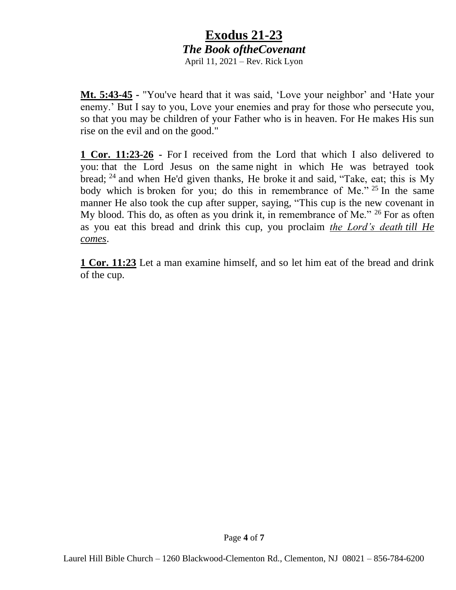**Mt. 5:43-45 -** "You've heard that it was said, 'Love your neighbor' and 'Hate your enemy.' But I say to you, Love your enemies and pray for those who persecute you, so that you may be children of your Father who is in heaven. For He makes His sun rise on the evil and on the good."

**1 Cor. 11:23-26 -** For I received from the Lord that which I also delivered to you: that the Lord Jesus on the same night in which He was betrayed took bread; <sup>24</sup> and when He'd given thanks, He broke it and said, "Take, eat; this is My body which is broken for you; do this in remembrance of Me." <sup>25</sup> In the same manner He also took the cup after supper, saying, "This cup is the new covenant in My blood. This do, as often as you drink it, in remembrance of Me." <sup>26</sup> For as often as you eat this bread and drink this cup, you proclaim *the Lord's death till He comes*.

**1 Cor. 11:23** Let a man examine himself, and so let him eat of the bread and drink of the cup.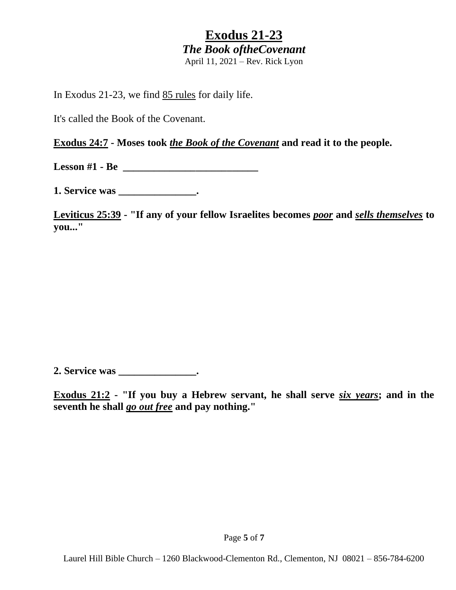In Exodus 21-23, we find 85 rules for daily life.

It's called the Book of the Covenant.

**Exodus 24:7 - Moses took** *the Book of the Covenant* **and read it to the people.**

**Lesson #1 - Be \_\_\_\_\_\_\_\_\_\_\_\_\_\_\_\_\_\_\_\_\_\_\_\_\_\_**

**1. Service was \_\_\_\_\_\_\_\_\_\_\_\_\_\_\_.**

**Leviticus 25:39 - "If any of your fellow Israelites becomes** *poor* **and** *sells themselves* **to you..."**

**2. Service was \_\_\_\_\_\_\_\_\_\_\_\_\_\_\_.**

**Exodus 21:2 - "If you buy a Hebrew servant, he shall serve** *six years***; and in the seventh he shall** *go out free* **and pay nothing."**

Page **5** of **7**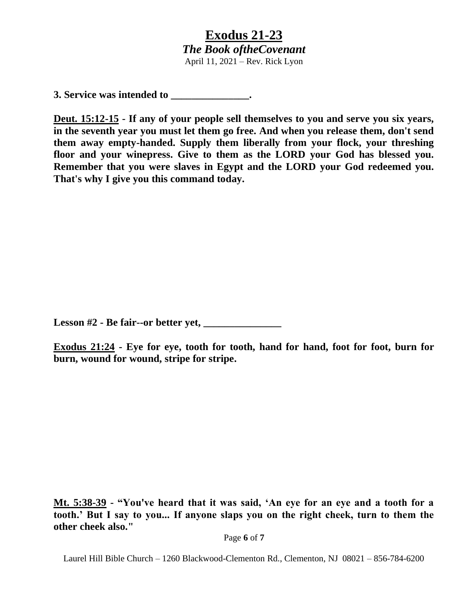**3. Service was intended to \_\_\_\_\_\_\_\_\_\_\_\_\_\_\_.**

**Deut. 15:12-15 - If any of your people sell themselves to you and serve you six years, in the seventh year you must let them go free. And when you release them, don't send them away empty-handed. Supply them liberally from your flock, your threshing floor and your winepress. Give to them as the LORD your God has blessed you. Remember that you were slaves in Egypt and the LORD your God redeemed you. That's why I give you this command today.**

**Lesson #2 - Be fair--or better yet, \_\_\_\_\_\_\_\_\_\_\_\_\_\_\_**

**Exodus 21:24 - Eye for eye, tooth for tooth, hand for hand, foot for foot, burn for burn, wound for wound, stripe for stripe.**

**Mt. 5:38-39 - "You've heard that it was said, 'An eye for an eye and a tooth for a tooth.' But I say to you... If anyone slaps you on the right cheek, turn to them the other cheek also."**

Page **6** of **7**